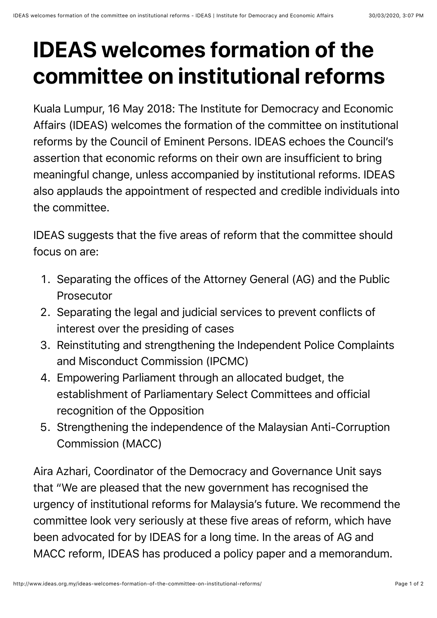## **IDEAS welcomes formation of the committee on institutional reforms**

Kuala Lumpur, 16 May 2018: The Institute for Democracy and Economic Affairs (IDEAS) welcomes the formation of the committee on institutional reforms by the Council of Eminent Persons. IDEAS echoes the Council's assertion that economic reforms on their own are insufficient to bring meaningful change, unless accompanied by institutional reforms. IDEAS also applauds the appointment of respected and credible individuals into the committee.

IDEAS suggests that the five areas of reform that the committee should focus on are:

- 1. Separating the offices of the Attorney General (AG) and the Public **Prosecutor**
- 2. Separating the legal and judicial services to prevent conflicts of interest over the presiding of cases
- 3. Reinstituting and strengthening the Independent Police Complaints and Misconduct Commission (IPCMC)
- 4. Empowering Parliament through an allocated budget, the establishment of Parliamentary Select Committees and official recognition of the Opposition
- 5. Strengthening the independence of the Malaysian Anti-Corruption Commission (MACC)

Aira Azhari, Coordinator of the Democracy and Governance Unit says that "We are pleased that the new government has recognised the urgency of institutional reforms for Malaysia's future. We recommend the committee look very seriously at these five areas of reform, which have been advocated for by IDEAS for a long time. In the areas of AG and MACC reform, IDEAS has produced a policy paper and a memorandum.